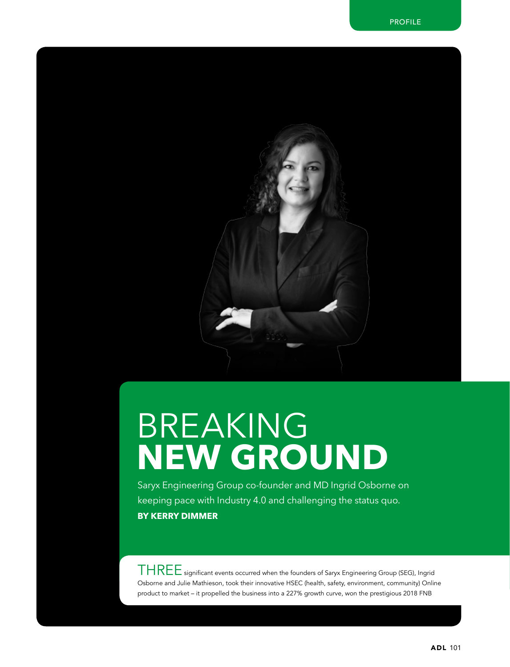

## Breaking **New ground**

Saryx Engineering Group co-founder and MD Ingrid Osborne on keeping pace with Industry 4.0 and challenging the status quo. **By Kerry Dimmer**

 $THREF$  significant events occurred when the founders of Saryx Engineering Group (SEG), Ingrid Osborne and Julie Mathieson, took their innovative HSEC (health, safety, environment, community) Online product to market – it propelled the business into a 227% growth curve, won the prestigious 2018 FNB